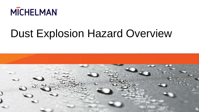

### Dust Explosion Hazard Overview

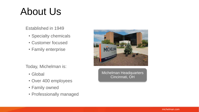### About Us

Established in 1949

- Specialty chemicals
- Customer focused
- Family enterprise

Today, Michelman is:

- Global
- Over 400 employees
- Family owned
- Professionally managed



Michelman Headquarters Cincinnati, OH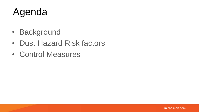### Agenda

- Background
- Dust Hazard Risk factors
- Control Measures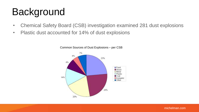# **Background**

- Chemical Safety Board (CSB) investigation examined 281 dust explosions
- Plastic dust accounted for 14% of dust explosions



Common Sources of Dust Explosions – per CSB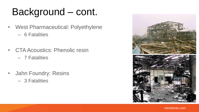# Background – cont.

- West Pharmaceutical: Polyethylene
	- 6 Fatalities
- CTA Acoustics: Phenolic resin
	- 7 Fatalities
- Jahn Foundry: Resins
	- 3 Fatalities

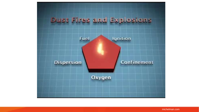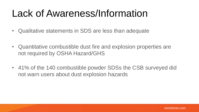#### Lack of Awareness/Information

- Qualitative statements in SDS are less than adequate
- Quantitative combustible dust fire and explosion properties are not required by OSHA Hazard/GHS
- 41% of the 140 combustible powder SDSs the CSB surveyed did not warn users about dust explosion hazards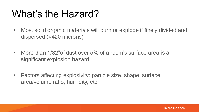#### What's the Hazard?

- Most solid organic materials will burn or explode if finely divided and dispersed (<420 microns)
- More than 1/32" of dust over 5% of a room's surface area is a significant explosion hazard
- Factors affecting explosivity: particle size, shape, surface area/volume ratio, humidity, etc.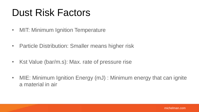#### Dust Risk Factors

- MIT: Minimum Ignition Temperature
- Particle Distribution: Smaller means higher risk
- Kst Value (bar/m.s): Max. rate of pressure rise
- MIE: Minimum Ignition Energy (mJ) : Minimum energy that can ignite a material in air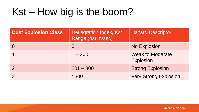#### Kst – How big is the boom?

| <b>Dust Explosion Class</b> | Deflagration Index, Kst<br>Range (bar.m/sec) | <b>Hazard Descriptor</b>                    |
|-----------------------------|----------------------------------------------|---------------------------------------------|
|                             | $\Omega$                                     | <b>No Explosion</b>                         |
|                             | $1 - 200$                                    | <b>Weak to Moderate</b><br><b>Explosion</b> |
|                             | $201 - 300$                                  | <b>Strong Explosion</b>                     |
|                             | >300                                         | <b>Very Strong Explosion</b>                |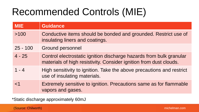### Recommended Controls (MIE)

| <b>MIE</b> | <b>Guidance</b>                                                                                                                           |
|------------|-------------------------------------------------------------------------------------------------------------------------------------------|
| >100       | Conductive items should be bonded and grounded. Restrict use of<br>insulating liners and coatings.                                        |
| $25 - 100$ | <b>Ground personnel</b>                                                                                                                   |
| $4 - 25$   | Control electrostatic ignition discharge hazards from bulk granular<br>materials of high resistivity. Consider ignition from dust clouds. |
| $1 - 4$    | High sensitivity to ignition. Take the above precautions and restrict<br>use of insulating materials.                                     |
| ${<}1$     | Extremely sensitive to ignition. Precautions same as for flammable<br>vapors and gases.                                                   |

\*Static discharge approximately 60mJ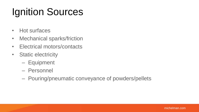# Ignition Sources

- Hot surfaces
- Mechanical sparks/friction
- Electrical motors/contacts
- Static electricity
	- Equipment
	- Personnel
	- Pouring/pneumatic conveyance of powders/pellets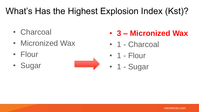#### What's Has the Highest Explosion Index (Kst)?

- Charcoal
- Micronized Wax
- Flour
- Sugar



- **3 – Micronized Wax**
- 1 Charcoal
- 1 Flour
- 1 Sugar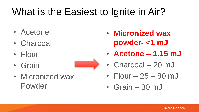### What is the Easiest to Ignite in Air?

- Acetone
- Charcoal
- Flour
- Grain



• Micronized wax Powder

- **Micronized wax powder- <1 mJ**
- **Acetone – 1.15 mJ**
- Charcoal 20 mJ
- Flour  $-25 80$  mJ
- Grain 30 mJ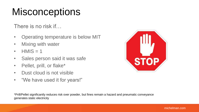#### **Misconceptions**

There is no risk if…

- Operating temperature is below MIT
- Mixing with water
- $\cdot$  HMIS = 1
- Sales person said it was safe
- Pellet, prill, or flake\*
- Dust cloud is not visible
- "We have used it for years!"



\*Prill/Pellet significantly reduces risk over powder, but fines remain a hazard and pneumatic conveyance generates static electricity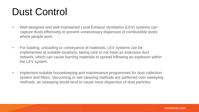#### Dust Control

- Well-designed and well-maintained Local Exhaust Ventilation (LEV) systems can capture dusts effectively to prevent unnecessary dispersion of combustible dusts where people work.
- For loading, unloading or conveyance of materials, LEV systems can be implemented at suitable locations, taking care to not have an extensive duct network, which can cause burning materials to spread following an explosion within the LEV system.
- Implement suitable housekeeping and maintenance programmes for dust collection system and filters. Vacuuming or wet cleaning methods are preferred over sweeping methods, as sweeping would tend to cause more dispersion of dust particles.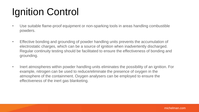# Ignition Control

- Use suitable flame-proof equipment or non-sparking tools in areas handling combustible powders.
- Effective bonding and grounding of powder handling units prevents the accumulation of electrostatic charges, which can be a source of ignition when inadvertently discharged. Regular continuity testing should be facilitated to ensure the effectiveness of bonding and grounding.
- Inert atmospheres within powder handling units eliminates the possibility of an ignition. For example, nitrogen can be used to reduce/eliminate the presence of oxygen in the atmosphere of the containment. Oxygen analysers can be employed to ensure the effectiveness of the inert gas blanketing.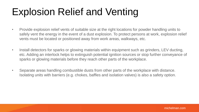### Explosion Relief and Venting

- Provide explosion relief vents of suitable size at the right locations for powder handling units to safely vent the energy in the event of a dust explosion. To protect persons at work, explosion relief vents must be located or positioned away from work areas, walkways, etc.
- Install detectors for sparks or glowing materials within equipment such as grinders, LEV ducting, etc. Adding an interlock helps to extinguish potential ignition sources or stop further conveyance of sparks or glowing materials before they reach other parts of the workplace.
- Separate areas handling combustible dusts from other parts of the workplace with distance. Isolating units with barriers (e.g. chokes, baffles and isolation valves) is also a safety option.